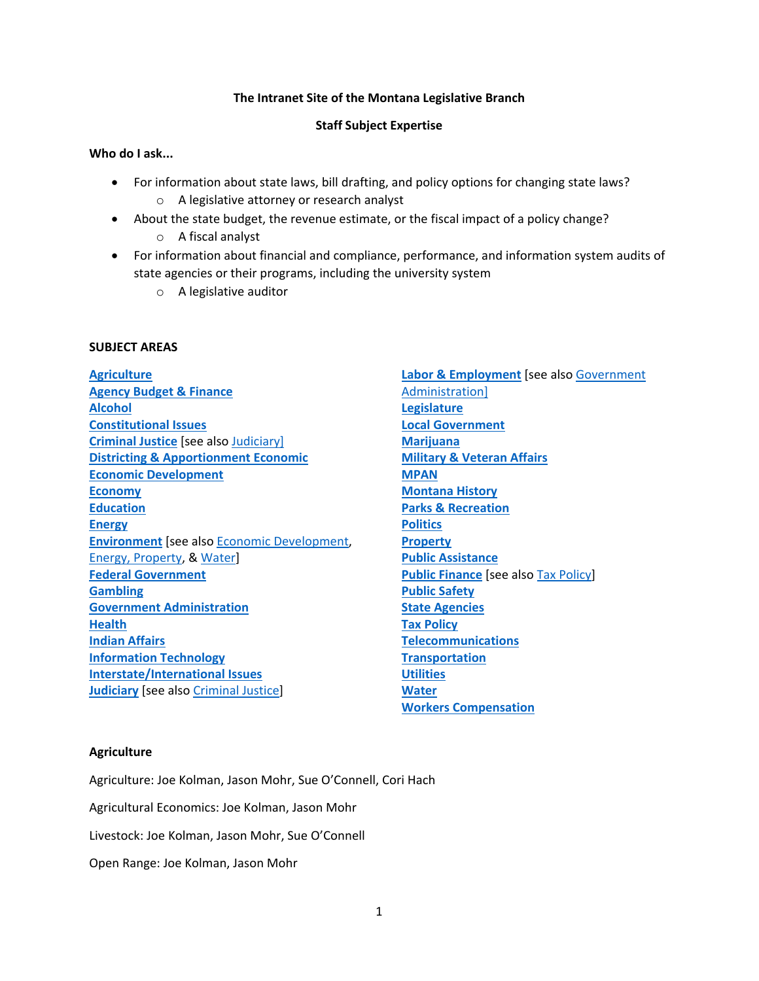# **The Intranet Site of the Montana Legislative Branch**

# **Staff Subject Expertise**

# **Who do I ask...**

- For information about state laws, bill drafting, and policy options for changing state laws? o A legislative attorney or research analyst
- About the state budget, the revenue estimate, or the fiscal impact of a policy change?
	- o A fiscal analyst
- For information about financial and compliance, performance, and information system audits of state agencies or their programs, including the university system
	- o A legislative auditor

# **SUBJECT AREAS**

**Agriculture Agency Budget & Finance Alcohol Constitutional Issues Criminal Justice** [see also Judiciary] **Districting & Apportionment Economic Economic Development Economy Education Energy Environment** [see also Economic Development, Energy, Property, & Water] **Federal Government Gambling Government Administration Health Indian Affairs Information Technology Interstate/International Issues Judiciary** [see also Criminal Justice]

**Labor & Employment** [see also Government Administration] **Legislature Local Government Marijuana Military & Veteran Affairs MPAN Montana History Parks & Recreation Politics Property Public Assistance Public Finance** [see also Tax Policy] **Public Safety State Agencies Tax Policy Telecommunications Transportation Utilities Water Workers Compensation**

# **Agriculture**

Agriculture: Joe Kolman, Jason Mohr, Sue O'Connell, Cori Hach

Agricultural Economics: Joe Kolman, Jason Mohr

Livestock: Joe Kolman, Jason Mohr, Sue O'Connell

Open Range: Joe Kolman, Jason Mohr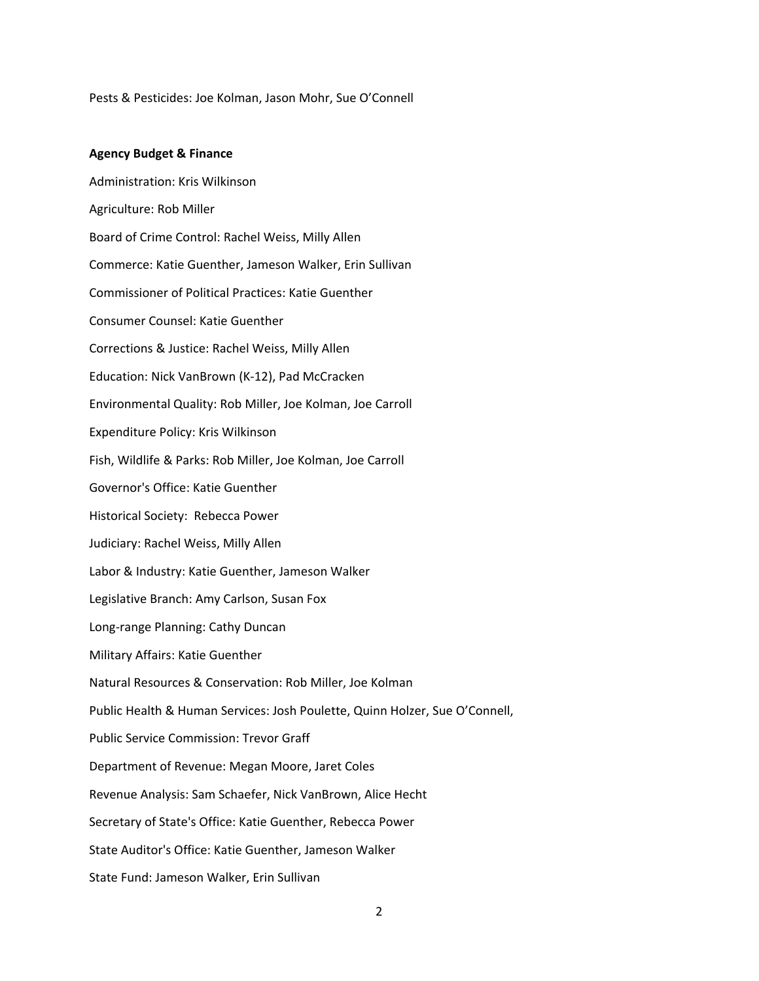Pests & Pesticides: Joe Kolman, Jason Mohr, Sue O'Connell

### **Agency Budget & Finance**

Administration: Kris Wilkinson Agriculture: Rob Miller Board of Crime Control: Rachel Weiss, Milly Allen Commerce: Katie Guenther, Jameson Walker, Erin Sullivan Commissioner of Political Practices: Katie Guenther Consumer Counsel: Katie Guenther Corrections & Justice: Rachel Weiss, Milly Allen Education: Nick VanBrown (K‐12), Pad McCracken Environmental Quality: Rob Miller, Joe Kolman, Joe Carroll Expenditure Policy: Kris Wilkinson Fish, Wildlife & Parks: Rob Miller, Joe Kolman, Joe Carroll Governor's Office: Katie Guenther Historical Society: Rebecca Power Judiciary: Rachel Weiss, Milly Allen Labor & Industry: Katie Guenther, Jameson Walker Legislative Branch: Amy Carlson, Susan Fox Long‐range Planning: Cathy Duncan Military Affairs: Katie Guenther Natural Resources & Conservation: Rob Miller, Joe Kolman Public Health & Human Services: Josh Poulette, Quinn Holzer, Sue O'Connell, Public Service Commission: Trevor Graff Department of Revenue: Megan Moore, Jaret Coles Revenue Analysis: Sam Schaefer, Nick VanBrown, Alice Hecht Secretary of State's Office: Katie Guenther, Rebecca Power State Auditor's Office: Katie Guenther, Jameson Walker State Fund: Jameson Walker, Erin Sullivan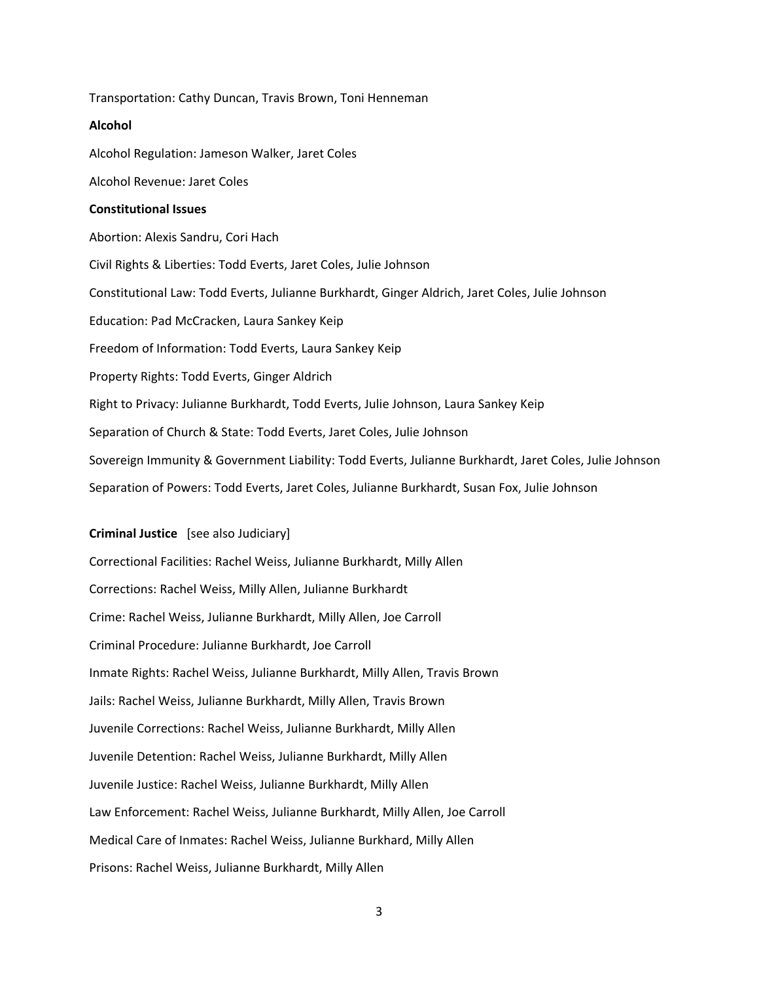Transportation: Cathy Duncan, Travis Brown, Toni Henneman

## **Alcohol**

Alcohol Regulation: Jameson Walker, Jaret Coles

Alcohol Revenue: Jaret Coles

### **Constitutional Issues**

Abortion: Alexis Sandru, Cori Hach Civil Rights & Liberties: Todd Everts, Jaret Coles, Julie Johnson Constitutional Law: Todd Everts, Julianne Burkhardt, Ginger Aldrich, Jaret Coles, Julie Johnson Education: Pad McCracken, Laura Sankey Keip Freedom of Information: Todd Everts, Laura Sankey Keip Property Rights: Todd Everts, Ginger Aldrich Right to Privacy: Julianne Burkhardt, Todd Everts, Julie Johnson, Laura Sankey Keip Separation of Church & State: Todd Everts, Jaret Coles, Julie Johnson Sovereign Immunity & Government Liability: Todd Everts, Julianne Burkhardt, Jaret Coles, Julie Johnson Separation of Powers: Todd Everts, Jaret Coles, Julianne Burkhardt, Susan Fox, Julie Johnson

## **Criminal Justice** [see also Judiciary]

Correctional Facilities: Rachel Weiss, Julianne Burkhardt, Milly Allen Corrections: Rachel Weiss, Milly Allen, Julianne Burkhardt Crime: Rachel Weiss, Julianne Burkhardt, Milly Allen, Joe Carroll Criminal Procedure: Julianne Burkhardt, Joe Carroll Inmate Rights: Rachel Weiss, Julianne Burkhardt, Milly Allen, Travis Brown Jails: Rachel Weiss, Julianne Burkhardt, Milly Allen, Travis Brown Juvenile Corrections: Rachel Weiss, Julianne Burkhardt, Milly Allen Juvenile Detention: Rachel Weiss, Julianne Burkhardt, Milly Allen Juvenile Justice: Rachel Weiss, Julianne Burkhardt, Milly Allen Law Enforcement: Rachel Weiss, Julianne Burkhardt, Milly Allen, Joe Carroll Medical Care of Inmates: Rachel Weiss, Julianne Burkhard, Milly Allen Prisons: Rachel Weiss, Julianne Burkhardt, Milly Allen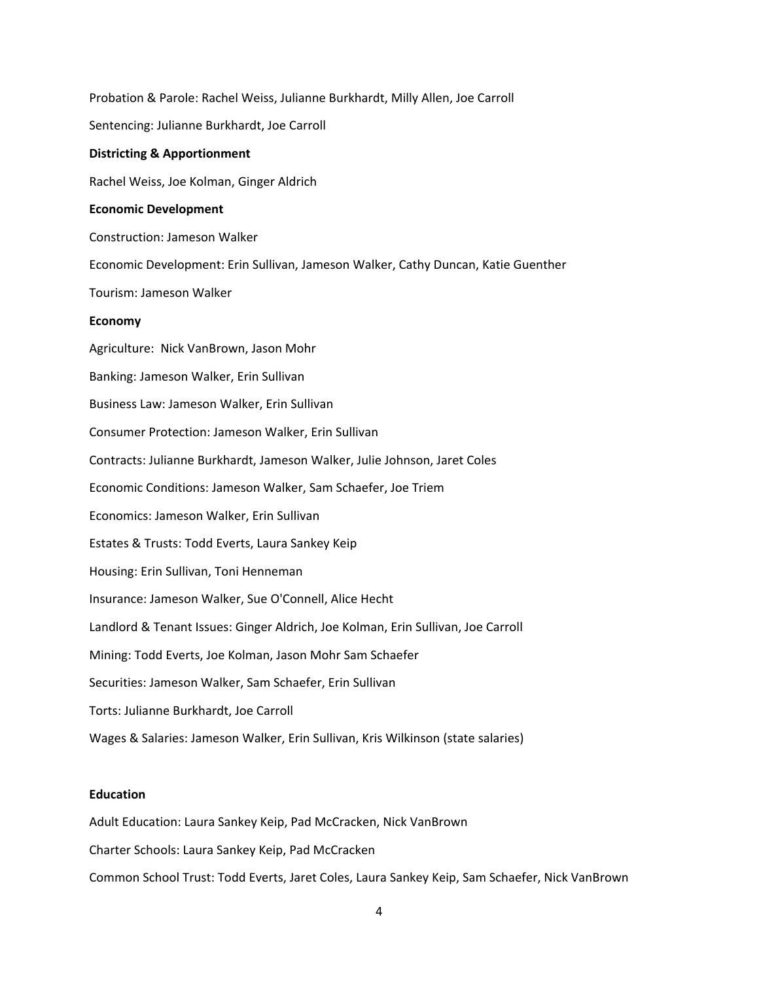Probation & Parole: Rachel Weiss, Julianne Burkhardt, Milly Allen, Joe Carroll Sentencing: Julianne Burkhardt, Joe Carroll **Districting & Apportionment**  Rachel Weiss, Joe Kolman, Ginger Aldrich **Economic Development**  Construction: Jameson Walker Economic Development: Erin Sullivan, Jameson Walker, Cathy Duncan, Katie Guenther Tourism: Jameson Walker **Economy**  Agriculture: Nick VanBrown, Jason Mohr Banking: Jameson Walker, Erin Sullivan Business Law: Jameson Walker, Erin Sullivan Consumer Protection: Jameson Walker, Erin Sullivan Contracts: Julianne Burkhardt, Jameson Walker, Julie Johnson, Jaret Coles Economic Conditions: Jameson Walker, Sam Schaefer, Joe Triem Economics: Jameson Walker, Erin Sullivan Estates & Trusts: Todd Everts, Laura Sankey Keip Housing: Erin Sullivan, Toni Henneman Insurance: Jameson Walker, Sue O'Connell, Alice Hecht Landlord & Tenant Issues: Ginger Aldrich, Joe Kolman, Erin Sullivan, Joe Carroll Mining: Todd Everts, Joe Kolman, Jason Mohr Sam Schaefer Securities: Jameson Walker, Sam Schaefer, Erin Sullivan Torts: Julianne Burkhardt, Joe Carroll Wages & Salaries: Jameson Walker, Erin Sullivan, Kris Wilkinson (state salaries)

# **Education**

Adult Education: Laura Sankey Keip, Pad McCracken, Nick VanBrown

Charter Schools: Laura Sankey Keip, Pad McCracken

Common School Trust: Todd Everts, Jaret Coles, Laura Sankey Keip, Sam Schaefer, Nick VanBrown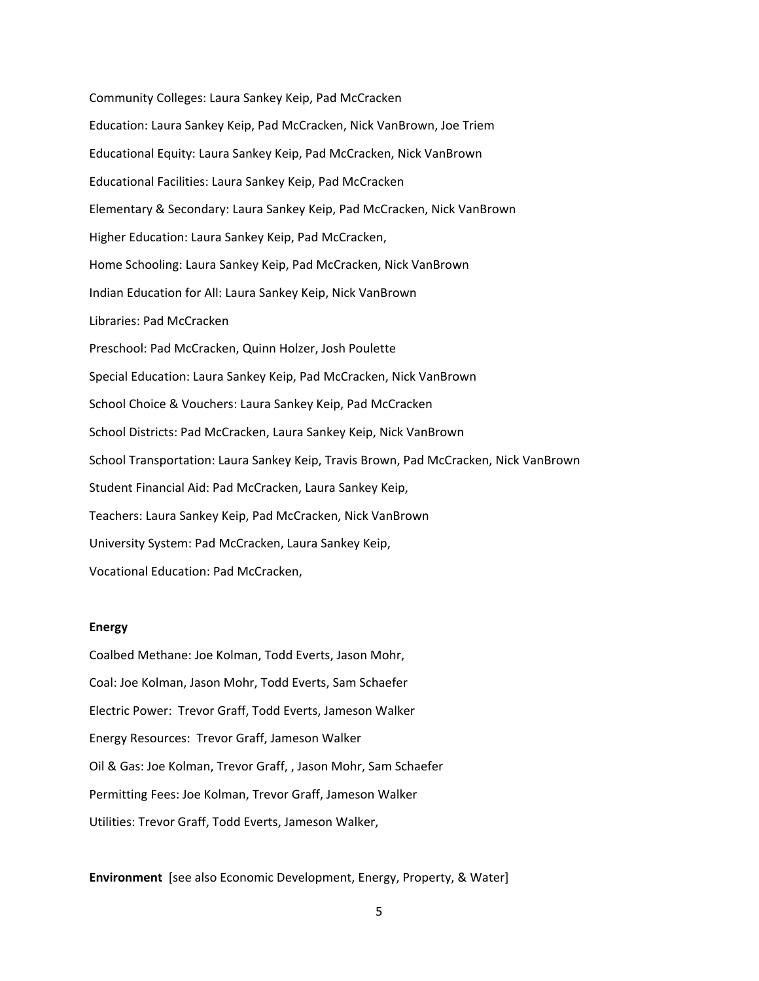Community Colleges: Laura Sankey Keip, Pad McCracken Education: Laura Sankey Keip, Pad McCracken, Nick VanBrown, Joe Triem Educational Equity: Laura Sankey Keip, Pad McCracken, Nick VanBrown Educational Facilities: Laura Sankey Keip, Pad McCracken Elementary & Secondary: Laura Sankey Keip, Pad McCracken, Nick VanBrown Higher Education: Laura Sankey Keip, Pad McCracken, Home Schooling: Laura Sankey Keip, Pad McCracken, Nick VanBrown Indian Education for All: Laura Sankey Keip, Nick VanBrown Libraries: Pad McCracken Preschool: Pad McCracken, Quinn Holzer, Josh Poulette Special Education: Laura Sankey Keip, Pad McCracken, Nick VanBrown School Choice & Vouchers: Laura Sankey Keip, Pad McCracken School Districts: Pad McCracken, Laura Sankey Keip, Nick VanBrown School Transportation: Laura Sankey Keip, Travis Brown, Pad McCracken, Nick VanBrown Student Financial Aid: Pad McCracken, Laura Sankey Keip, Teachers: Laura Sankey Keip, Pad McCracken, Nick VanBrown University System: Pad McCracken, Laura Sankey Keip, Vocational Education: Pad McCracken,

### **Energy**

Coalbed Methane: Joe Kolman, Todd Everts, Jason Mohr, Coal: Joe Kolman, Jason Mohr, Todd Everts, Sam Schaefer Electric Power: Trevor Graff, Todd Everts, Jameson Walker Energy Resources: Trevor Graff, Jameson Walker Oil & Gas: Joe Kolman, Trevor Graff, , Jason Mohr, Sam Schaefer Permitting Fees: Joe Kolman, Trevor Graff, Jameson Walker Utilities: Trevor Graff, Todd Everts, Jameson Walker,

### **Environment** [see also Economic Development, Energy, Property, & Water]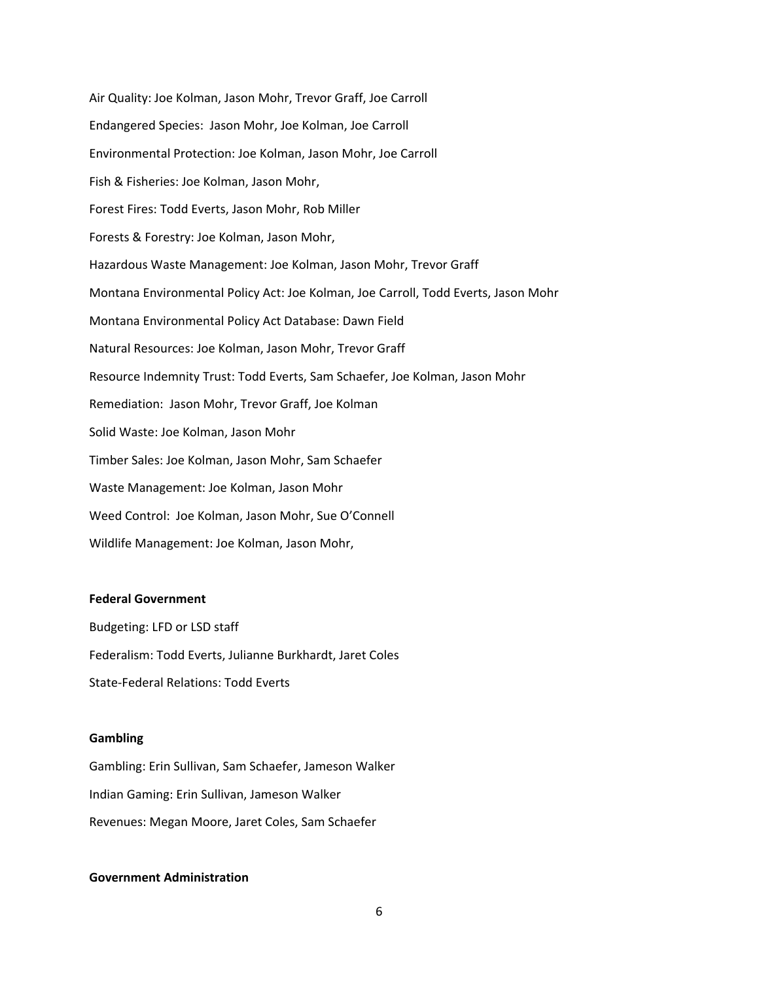Air Quality: Joe Kolman, Jason Mohr, Trevor Graff, Joe Carroll Endangered Species: Jason Mohr, Joe Kolman, Joe Carroll Environmental Protection: Joe Kolman, Jason Mohr, Joe Carroll Fish & Fisheries: Joe Kolman, Jason Mohr, Forest Fires: Todd Everts, Jason Mohr, Rob Miller Forests & Forestry: Joe Kolman, Jason Mohr, Hazardous Waste Management: Joe Kolman, Jason Mohr, Trevor Graff Montana Environmental Policy Act: Joe Kolman, Joe Carroll, Todd Everts, Jason Mohr Montana Environmental Policy Act Database: Dawn Field Natural Resources: Joe Kolman, Jason Mohr, Trevor Graff Resource Indemnity Trust: Todd Everts, Sam Schaefer, Joe Kolman, Jason Mohr Remediation: Jason Mohr, Trevor Graff, Joe Kolman Solid Waste: Joe Kolman, Jason Mohr Timber Sales: Joe Kolman, Jason Mohr, Sam Schaefer Waste Management: Joe Kolman, Jason Mohr Weed Control: Joe Kolman, Jason Mohr, Sue O'Connell Wildlife Management: Joe Kolman, Jason Mohr,

## **Federal Government**

Budgeting: LFD or LSD staff Federalism: Todd Everts, Julianne Burkhardt, Jaret Coles State‐Federal Relations: Todd Everts

### **Gambling**

Gambling: Erin Sullivan, Sam Schaefer, Jameson Walker Indian Gaming: Erin Sullivan, Jameson Walker Revenues: Megan Moore, Jaret Coles, Sam Schaefer

# **Government Administration**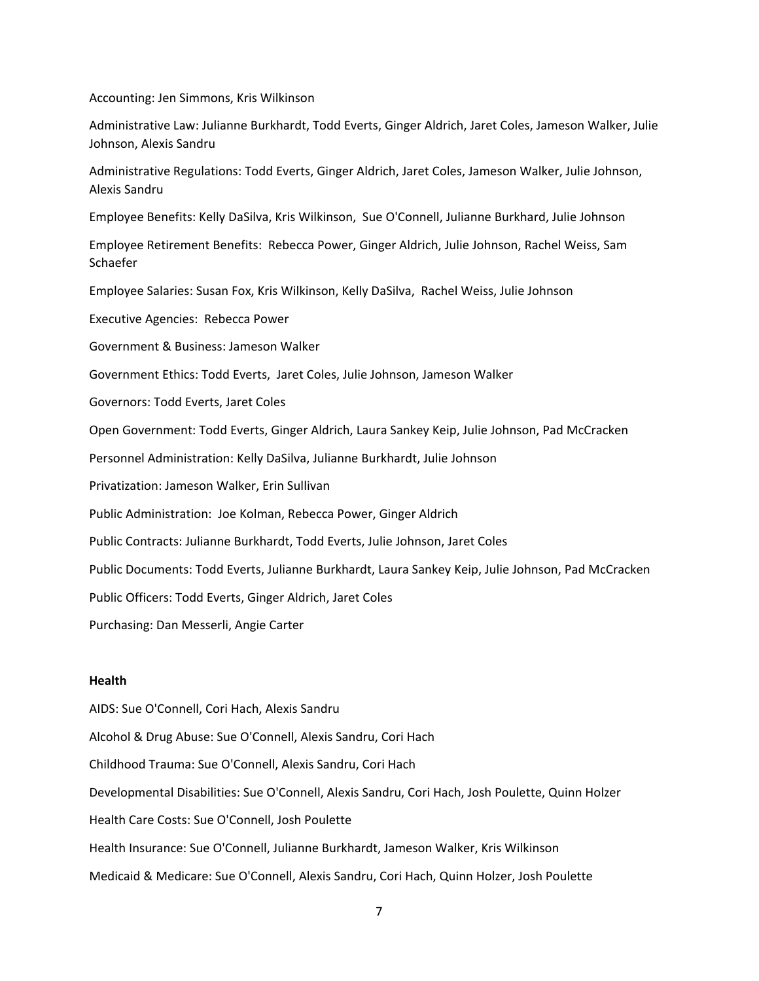Accounting: Jen Simmons, Kris Wilkinson

Administrative Law: Julianne Burkhardt, Todd Everts, Ginger Aldrich, Jaret Coles, Jameson Walker, Julie Johnson, Alexis Sandru

Administrative Regulations: Todd Everts, Ginger Aldrich, Jaret Coles, Jameson Walker, Julie Johnson, Alexis Sandru

Employee Benefits: Kelly DaSilva, Kris Wilkinson, Sue O'Connell, Julianne Burkhard, Julie Johnson

Employee Retirement Benefits: Rebecca Power, Ginger Aldrich, Julie Johnson, Rachel Weiss, Sam Schaefer

Employee Salaries: Susan Fox, Kris Wilkinson, Kelly DaSilva, Rachel Weiss, Julie Johnson

Executive Agencies: Rebecca Power

Government & Business: Jameson Walker

Government Ethics: Todd Everts, Jaret Coles, Julie Johnson, Jameson Walker

Governors: Todd Everts, Jaret Coles

Open Government: Todd Everts, Ginger Aldrich, Laura Sankey Keip, Julie Johnson, Pad McCracken

Personnel Administration: Kelly DaSilva, Julianne Burkhardt, Julie Johnson

Privatization: Jameson Walker, Erin Sullivan

Public Administration: Joe Kolman, Rebecca Power, Ginger Aldrich

Public Contracts: Julianne Burkhardt, Todd Everts, Julie Johnson, Jaret Coles

Public Documents: Todd Everts, Julianne Burkhardt, Laura Sankey Keip, Julie Johnson, Pad McCracken

Public Officers: Todd Everts, Ginger Aldrich, Jaret Coles

Purchasing: Dan Messerli, Angie Carter

## **Health**

AIDS: Sue O'Connell, Cori Hach, Alexis Sandru Alcohol & Drug Abuse: Sue O'Connell, Alexis Sandru, Cori Hach Childhood Trauma: Sue O'Connell, Alexis Sandru, Cori Hach Developmental Disabilities: Sue O'Connell, Alexis Sandru, Cori Hach, Josh Poulette, Quinn Holzer Health Care Costs: Sue O'Connell, Josh Poulette Health Insurance: Sue O'Connell, Julianne Burkhardt, Jameson Walker, Kris Wilkinson Medicaid & Medicare: Sue O'Connell, Alexis Sandru, Cori Hach, Quinn Holzer, Josh Poulette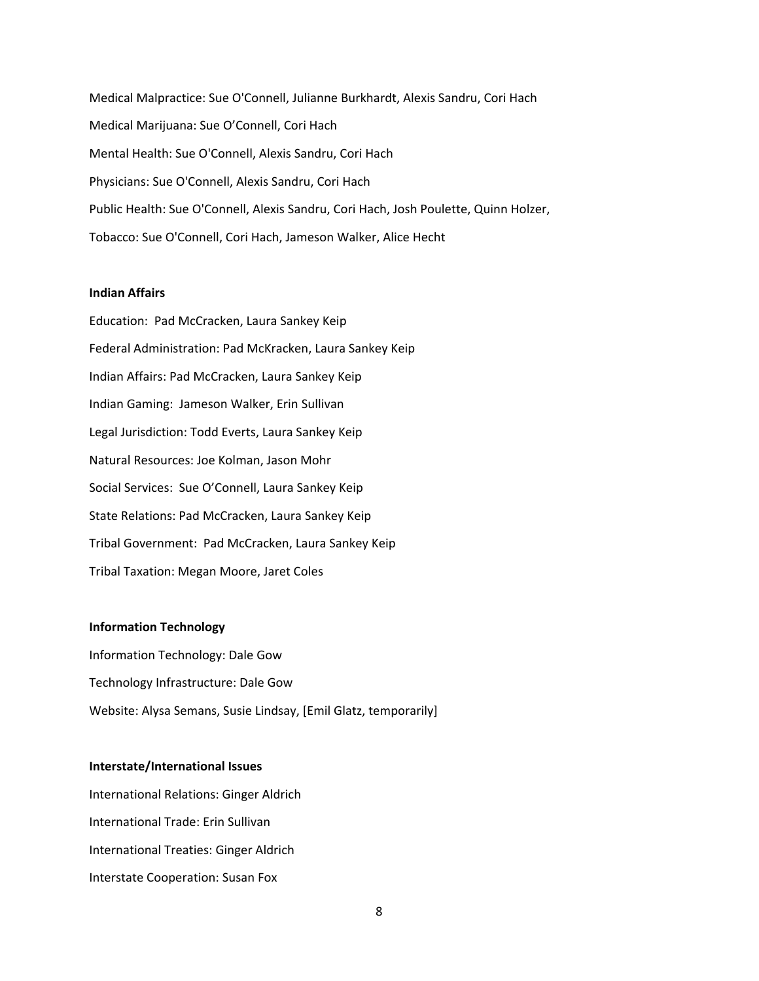Medical Malpractice: Sue O'Connell, Julianne Burkhardt, Alexis Sandru, Cori Hach Medical Marijuana: Sue O'Connell, Cori Hach Mental Health: Sue O'Connell, Alexis Sandru, Cori Hach Physicians: Sue O'Connell, Alexis Sandru, Cori Hach Public Health: Sue O'Connell, Alexis Sandru, Cori Hach, Josh Poulette, Quinn Holzer, Tobacco: Sue O'Connell, Cori Hach, Jameson Walker, Alice Hecht

# **Indian Affairs**

Education: Pad McCracken, Laura Sankey Keip Federal Administration: Pad McKracken, Laura Sankey Keip Indian Affairs: Pad McCracken, Laura Sankey Keip Indian Gaming: Jameson Walker, Erin Sullivan Legal Jurisdiction: Todd Everts, Laura Sankey Keip Natural Resources: Joe Kolman, Jason Mohr Social Services: Sue O'Connell, Laura Sankey Keip State Relations: Pad McCracken, Laura Sankey Keip Tribal Government: Pad McCracken, Laura Sankey Keip Tribal Taxation: Megan Moore, Jaret Coles

# **Information Technology**

Information Technology: Dale Gow Technology Infrastructure: Dale Gow Website: Alysa Semans, Susie Lindsay, [Emil Glatz, temporarily]

## **Interstate/International Issues**

International Relations: Ginger Aldrich International Trade: Erin Sullivan International Treaties: Ginger Aldrich Interstate Cooperation: Susan Fox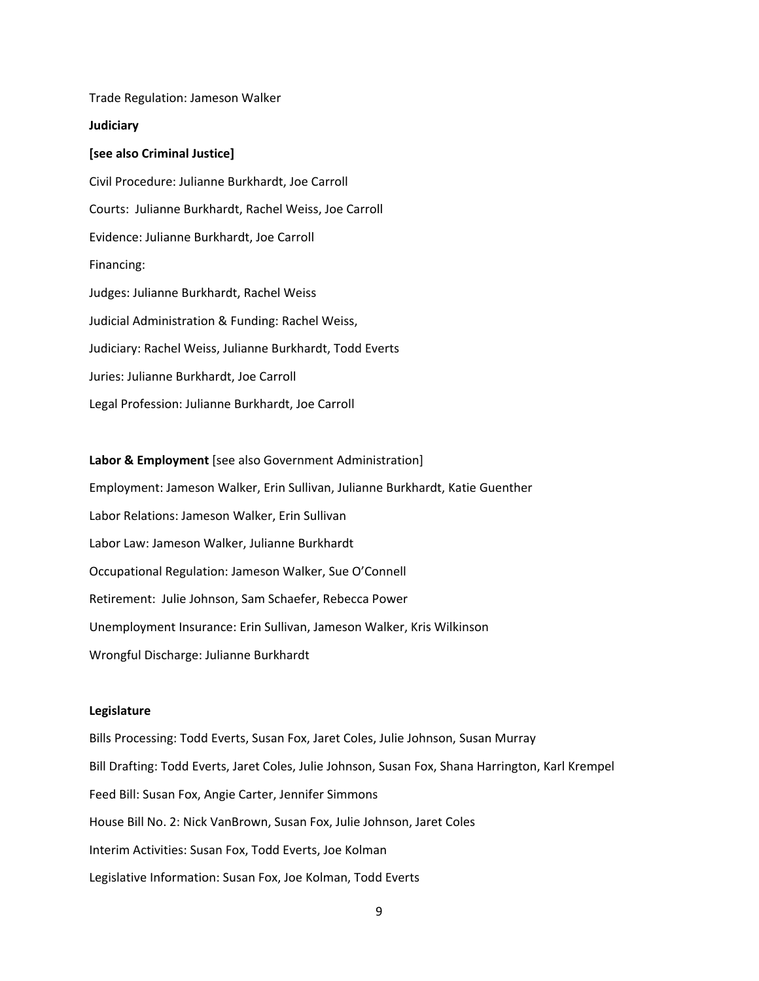Trade Regulation: Jameson Walker

### **Judiciary**

### **[see also Criminal Justice]**

Civil Procedure: Julianne Burkhardt, Joe Carroll Courts: Julianne Burkhardt, Rachel Weiss, Joe Carroll Evidence: Julianne Burkhardt, Joe Carroll Financing: Judges: Julianne Burkhardt, Rachel Weiss Judicial Administration & Funding: Rachel Weiss, Judiciary: Rachel Weiss, Julianne Burkhardt, Todd Everts Juries: Julianne Burkhardt, Joe Carroll Legal Profession: Julianne Burkhardt, Joe Carroll

# **Labor & Employment** [see also Government Administration] Employment: Jameson Walker, Erin Sullivan, Julianne Burkhardt, Katie Guenther Labor Relations: Jameson Walker, Erin Sullivan Labor Law: Jameson Walker, Julianne Burkhardt Occupational Regulation: Jameson Walker, Sue O'Connell Retirement: Julie Johnson, Sam Schaefer, Rebecca Power Unemployment Insurance: Erin Sullivan, Jameson Walker, Kris Wilkinson Wrongful Discharge: Julianne Burkhardt

# **Legislature**

Bills Processing: Todd Everts, Susan Fox, Jaret Coles, Julie Johnson, Susan Murray Bill Drafting: Todd Everts, Jaret Coles, Julie Johnson, Susan Fox, Shana Harrington, Karl Krempel Feed Bill: Susan Fox, Angie Carter, Jennifer Simmons House Bill No. 2: Nick VanBrown, Susan Fox, Julie Johnson, Jaret Coles Interim Activities: Susan Fox, Todd Everts, Joe Kolman Legislative Information: Susan Fox, Joe Kolman, Todd Everts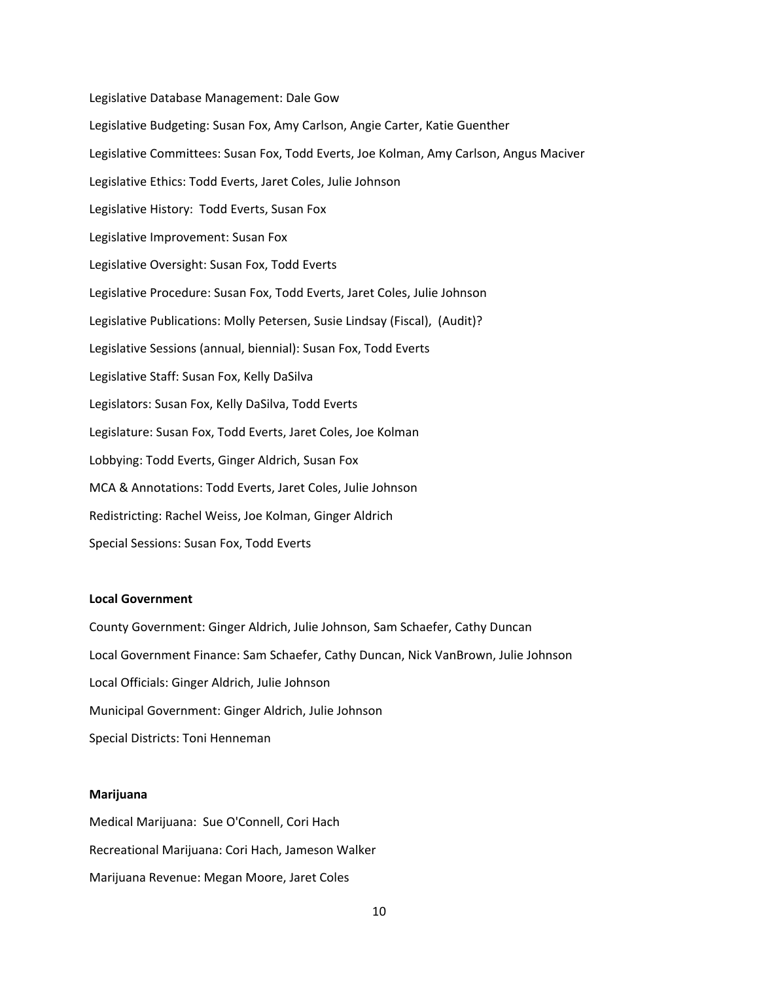Legislative Database Management: Dale Gow Legislative Budgeting: Susan Fox, Amy Carlson, Angie Carter, Katie Guenther Legislative Committees: Susan Fox, Todd Everts, Joe Kolman, Amy Carlson, Angus Maciver Legislative Ethics: Todd Everts, Jaret Coles, Julie Johnson Legislative History: Todd Everts, Susan Fox Legislative Improvement: Susan Fox Legislative Oversight: Susan Fox, Todd Everts Legislative Procedure: Susan Fox, Todd Everts, Jaret Coles, Julie Johnson Legislative Publications: Molly Petersen, Susie Lindsay (Fiscal), (Audit)? Legislative Sessions (annual, biennial): Susan Fox, Todd Everts Legislative Staff: Susan Fox, Kelly DaSilva Legislators: Susan Fox, Kelly DaSilva, Todd Everts Legislature: Susan Fox, Todd Everts, Jaret Coles, Joe Kolman Lobbying: Todd Everts, Ginger Aldrich, Susan Fox MCA & Annotations: Todd Everts, Jaret Coles, Julie Johnson Redistricting: Rachel Weiss, Joe Kolman, Ginger Aldrich Special Sessions: Susan Fox, Todd Everts

## **Local Government**

County Government: Ginger Aldrich, Julie Johnson, Sam Schaefer, Cathy Duncan Local Government Finance: Sam Schaefer, Cathy Duncan, Nick VanBrown, Julie Johnson Local Officials: Ginger Aldrich, Julie Johnson Municipal Government: Ginger Aldrich, Julie Johnson Special Districts: Toni Henneman

### **Marijuana**

Medical Marijuana: Sue O'Connell, Cori Hach Recreational Marijuana: Cori Hach, Jameson Walker Marijuana Revenue: Megan Moore, Jaret Coles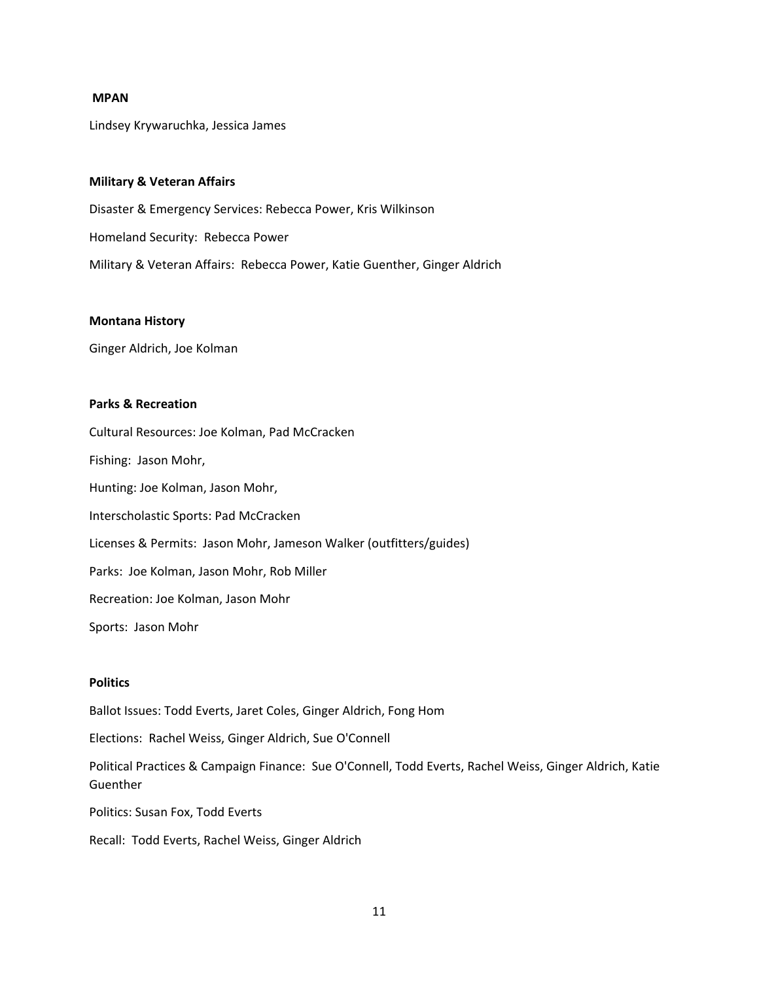## **MPAN**

Lindsey Krywaruchka, Jessica James

## **Military & Veteran Affairs**

Disaster & Emergency Services: Rebecca Power, Kris Wilkinson Homeland Security: Rebecca Power Military & Veteran Affairs: Rebecca Power, Katie Guenther, Ginger Aldrich

# **Montana History**

Ginger Aldrich, Joe Kolman

# **Parks & Recreation**

Cultural Resources: Joe Kolman, Pad McCracken

Fishing: Jason Mohr,

Hunting: Joe Kolman, Jason Mohr,

Interscholastic Sports: Pad McCracken

Licenses & Permits: Jason Mohr, Jameson Walker (outfitters/guides)

Parks: Joe Kolman, Jason Mohr, Rob Miller

Recreation: Joe Kolman, Jason Mohr

Sports: Jason Mohr

# **Politics**

Ballot Issues: Todd Everts, Jaret Coles, Ginger Aldrich, Fong Hom

Elections: Rachel Weiss, Ginger Aldrich, Sue O'Connell

Political Practices & Campaign Finance: Sue O'Connell, Todd Everts, Rachel Weiss, Ginger Aldrich, Katie **Guenther** 

Politics: Susan Fox, Todd Everts

Recall: Todd Everts, Rachel Weiss, Ginger Aldrich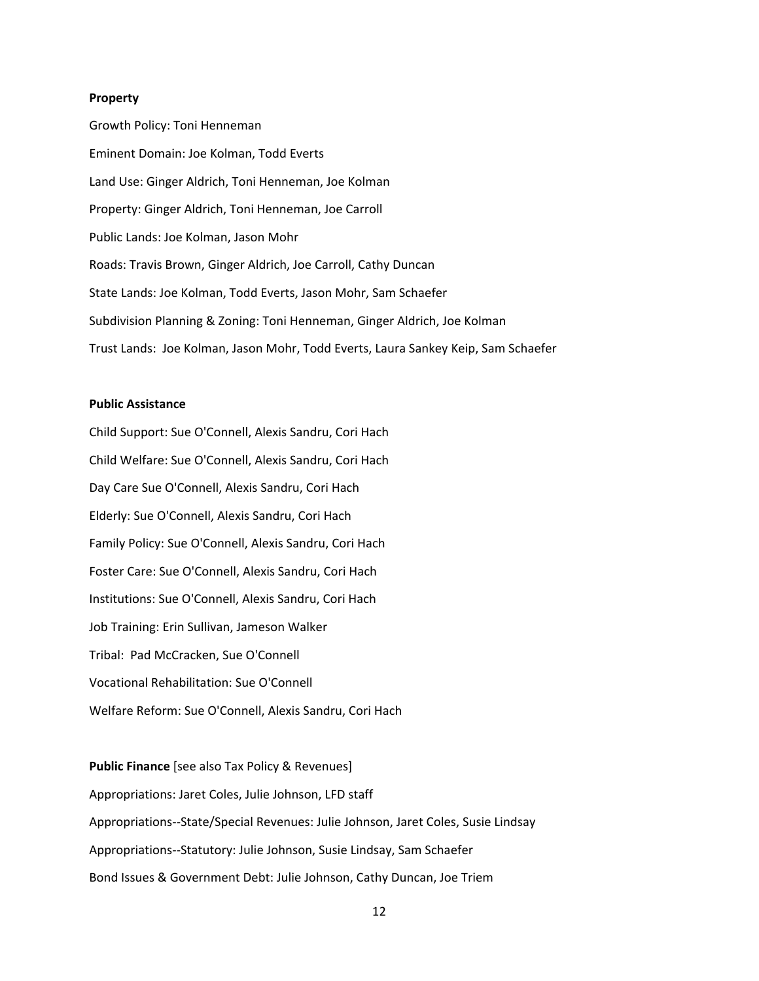### **Property**

Growth Policy: Toni Henneman Eminent Domain: Joe Kolman, Todd Everts Land Use: Ginger Aldrich, Toni Henneman, Joe Kolman Property: Ginger Aldrich, Toni Henneman, Joe Carroll Public Lands: Joe Kolman, Jason Mohr Roads: Travis Brown, Ginger Aldrich, Joe Carroll, Cathy Duncan State Lands: Joe Kolman, Todd Everts, Jason Mohr, Sam Schaefer Subdivision Planning & Zoning: Toni Henneman, Ginger Aldrich, Joe Kolman Trust Lands: Joe Kolman, Jason Mohr, Todd Everts, Laura Sankey Keip, Sam Schaefer

# **Public Assistance**

Child Support: Sue O'Connell, Alexis Sandru, Cori Hach Child Welfare: Sue O'Connell, Alexis Sandru, Cori Hach Day Care Sue O'Connell, Alexis Sandru, Cori Hach Elderly: Sue O'Connell, Alexis Sandru, Cori Hach Family Policy: Sue O'Connell, Alexis Sandru, Cori Hach Foster Care: Sue O'Connell, Alexis Sandru, Cori Hach Institutions: Sue O'Connell, Alexis Sandru, Cori Hach Job Training: Erin Sullivan, Jameson Walker Tribal: Pad McCracken, Sue O'Connell Vocational Rehabilitation: Sue O'Connell Welfare Reform: Sue O'Connell, Alexis Sandru, Cori Hach

**Public Finance** [see also Tax Policy & Revenues] Appropriations: Jaret Coles, Julie Johnson, LFD staff Appropriations‐‐State/Special Revenues: Julie Johnson, Jaret Coles, Susie Lindsay Appropriations‐‐Statutory: Julie Johnson, Susie Lindsay, Sam Schaefer Bond Issues & Government Debt: Julie Johnson, Cathy Duncan, Joe Triem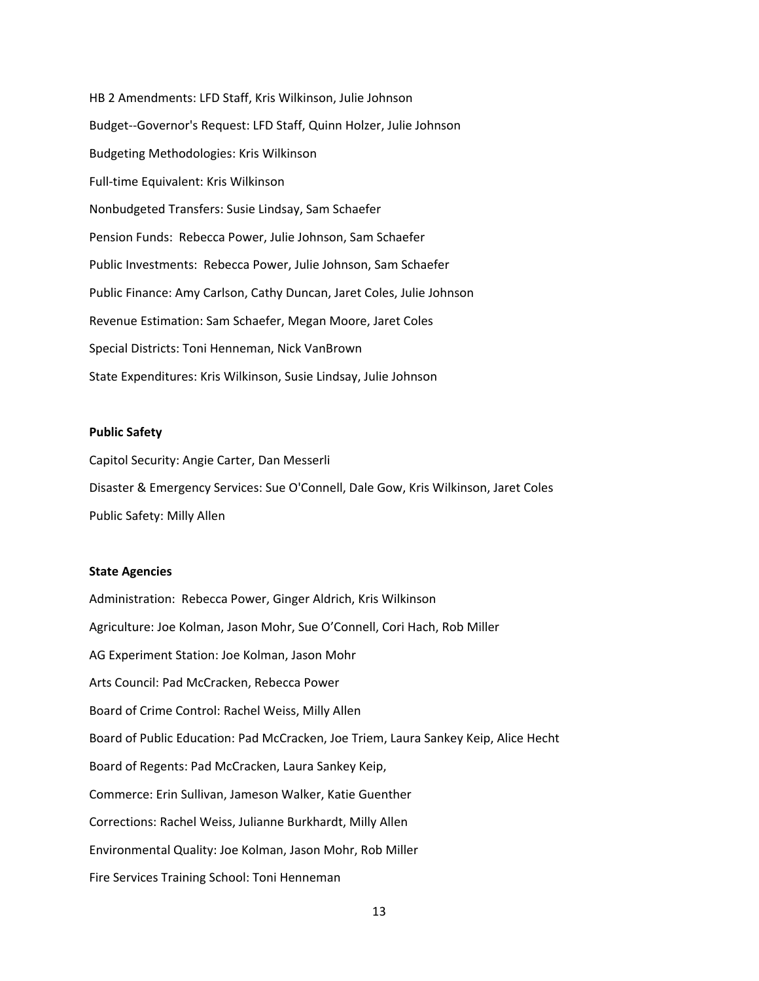HB 2 Amendments: LFD Staff, Kris Wilkinson, Julie Johnson Budget‐‐Governor's Request: LFD Staff, Quinn Holzer, Julie Johnson Budgeting Methodologies: Kris Wilkinson Full-time Equivalent: Kris Wilkinson Nonbudgeted Transfers: Susie Lindsay, Sam Schaefer Pension Funds: Rebecca Power, Julie Johnson, Sam Schaefer Public Investments: Rebecca Power, Julie Johnson, Sam Schaefer Public Finance: Amy Carlson, Cathy Duncan, Jaret Coles, Julie Johnson Revenue Estimation: Sam Schaefer, Megan Moore, Jaret Coles Special Districts: Toni Henneman, Nick VanBrown State Expenditures: Kris Wilkinson, Susie Lindsay, Julie Johnson

# **Public Safety**

Capitol Security: Angie Carter, Dan Messerli Disaster & Emergency Services: Sue O'Connell, Dale Gow, Kris Wilkinson, Jaret Coles Public Safety: Milly Allen

# **State Agencies**

Administration: Rebecca Power, Ginger Aldrich, Kris Wilkinson Agriculture: Joe Kolman, Jason Mohr, Sue O'Connell, Cori Hach, Rob Miller AG Experiment Station: Joe Kolman, Jason Mohr Arts Council: Pad McCracken, Rebecca Power Board of Crime Control: Rachel Weiss, Milly Allen Board of Public Education: Pad McCracken, Joe Triem, Laura Sankey Keip, Alice Hecht Board of Regents: Pad McCracken, Laura Sankey Keip, Commerce: Erin Sullivan, Jameson Walker, Katie Guenther Corrections: Rachel Weiss, Julianne Burkhardt, Milly Allen Environmental Quality: Joe Kolman, Jason Mohr, Rob Miller Fire Services Training School: Toni Henneman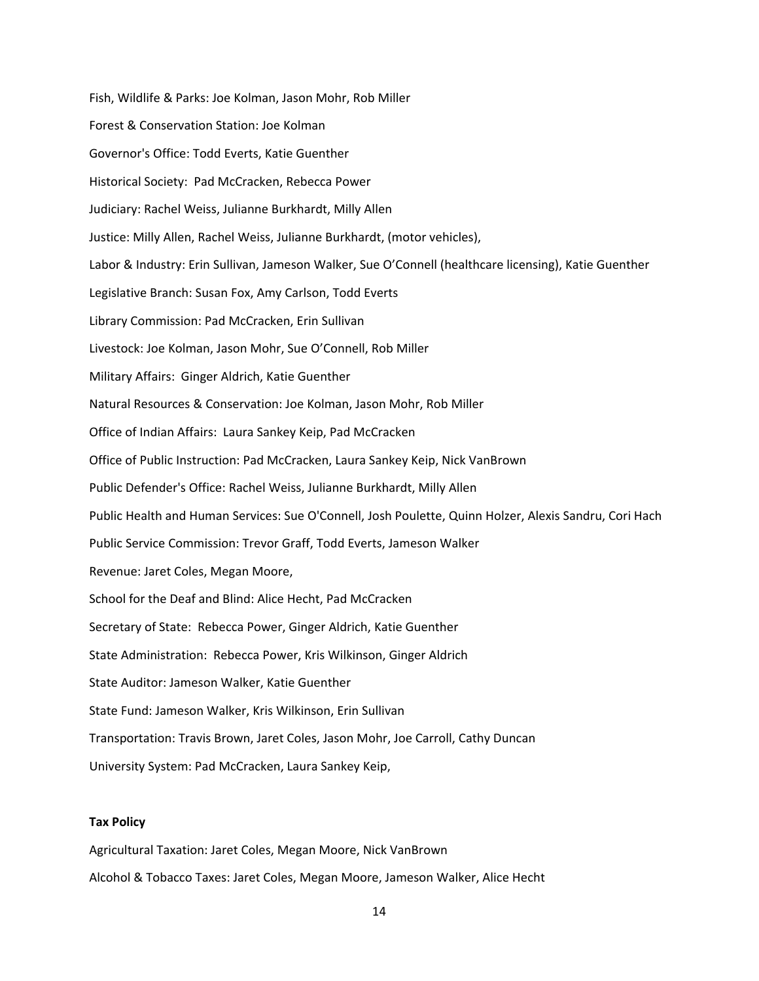Fish, Wildlife & Parks: Joe Kolman, Jason Mohr, Rob Miller Forest & Conservation Station: Joe Kolman Governor's Office: Todd Everts, Katie Guenther Historical Society: Pad McCracken, Rebecca Power Judiciary: Rachel Weiss, Julianne Burkhardt, Milly Allen Justice: Milly Allen, Rachel Weiss, Julianne Burkhardt, (motor vehicles), Labor & Industry: Erin Sullivan, Jameson Walker, Sue O'Connell (healthcare licensing), Katie Guenther Legislative Branch: Susan Fox, Amy Carlson, Todd Everts Library Commission: Pad McCracken, Erin Sullivan Livestock: Joe Kolman, Jason Mohr, Sue O'Connell, Rob Miller Military Affairs: Ginger Aldrich, Katie Guenther Natural Resources & Conservation: Joe Kolman, Jason Mohr, Rob Miller Office of Indian Affairs: Laura Sankey Keip, Pad McCracken Office of Public Instruction: Pad McCracken, Laura Sankey Keip, Nick VanBrown Public Defender's Office: Rachel Weiss, Julianne Burkhardt, Milly Allen Public Health and Human Services: Sue O'Connell, Josh Poulette, Quinn Holzer, Alexis Sandru, Cori Hach Public Service Commission: Trevor Graff, Todd Everts, Jameson Walker Revenue: Jaret Coles, Megan Moore, School for the Deaf and Blind: Alice Hecht, Pad McCracken Secretary of State: Rebecca Power, Ginger Aldrich, Katie Guenther State Administration: Rebecca Power, Kris Wilkinson, Ginger Aldrich State Auditor: Jameson Walker, Katie Guenther State Fund: Jameson Walker, Kris Wilkinson, Erin Sullivan Transportation: Travis Brown, Jaret Coles, Jason Mohr, Joe Carroll, Cathy Duncan University System: Pad McCracken, Laura Sankey Keip,

### **Tax Policy**

Agricultural Taxation: Jaret Coles, Megan Moore, Nick VanBrown Alcohol & Tobacco Taxes: Jaret Coles, Megan Moore, Jameson Walker, Alice Hecht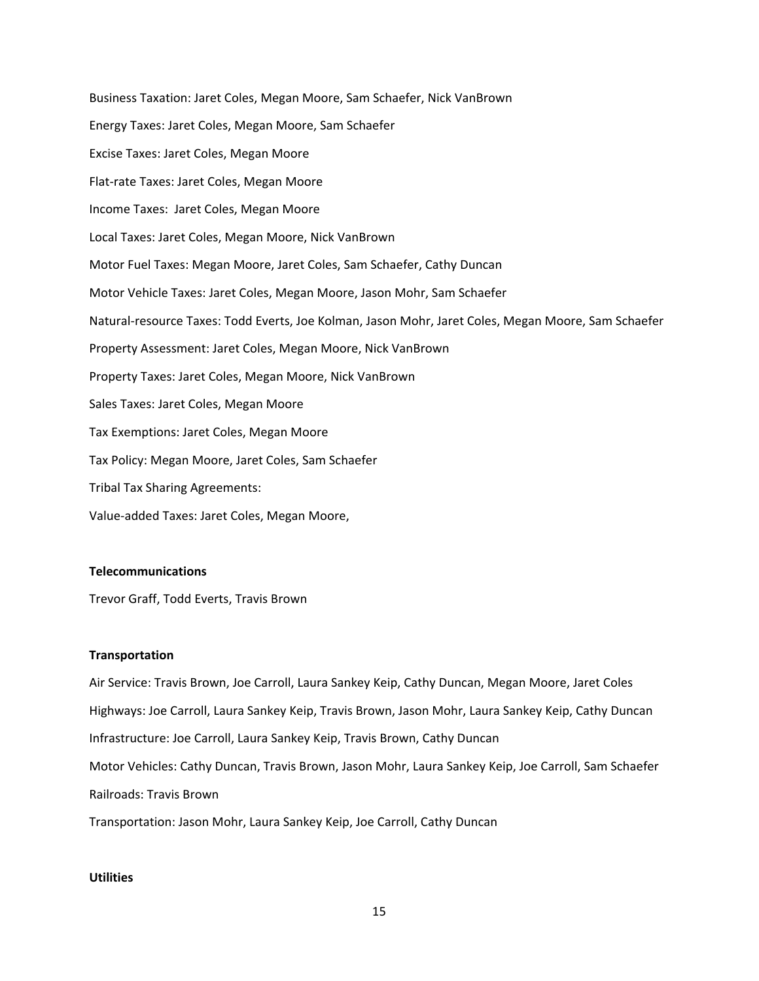Business Taxation: Jaret Coles, Megan Moore, Sam Schaefer, Nick VanBrown Energy Taxes: Jaret Coles, Megan Moore, Sam Schaefer Excise Taxes: Jaret Coles, Megan Moore Flat‐rate Taxes: Jaret Coles, Megan Moore Income Taxes: Jaret Coles, Megan Moore Local Taxes: Jaret Coles, Megan Moore, Nick VanBrown Motor Fuel Taxes: Megan Moore, Jaret Coles, Sam Schaefer, Cathy Duncan Motor Vehicle Taxes: Jaret Coles, Megan Moore, Jason Mohr, Sam Schaefer Natural‐resource Taxes: Todd Everts, Joe Kolman, Jason Mohr, Jaret Coles, Megan Moore, Sam Schaefer Property Assessment: Jaret Coles, Megan Moore, Nick VanBrown Property Taxes: Jaret Coles, Megan Moore, Nick VanBrown Sales Taxes: Jaret Coles, Megan Moore Tax Exemptions: Jaret Coles, Megan Moore Tax Policy: Megan Moore, Jaret Coles, Sam Schaefer Tribal Tax Sharing Agreements: Value‐added Taxes: Jaret Coles, Megan Moore,

## **Telecommunications**

Trevor Graff, Todd Everts, Travis Brown

### **Transportation**

Air Service: Travis Brown, Joe Carroll, Laura Sankey Keip, Cathy Duncan, Megan Moore, Jaret Coles Highways: Joe Carroll, Laura Sankey Keip, Travis Brown, Jason Mohr, Laura Sankey Keip, Cathy Duncan Infrastructure: Joe Carroll, Laura Sankey Keip, Travis Brown, Cathy Duncan Motor Vehicles: Cathy Duncan, Travis Brown, Jason Mohr, Laura Sankey Keip, Joe Carroll, Sam Schaefer Railroads: Travis Brown Transportation: Jason Mohr, Laura Sankey Keip, Joe Carroll, Cathy Duncan

# **Utilities**